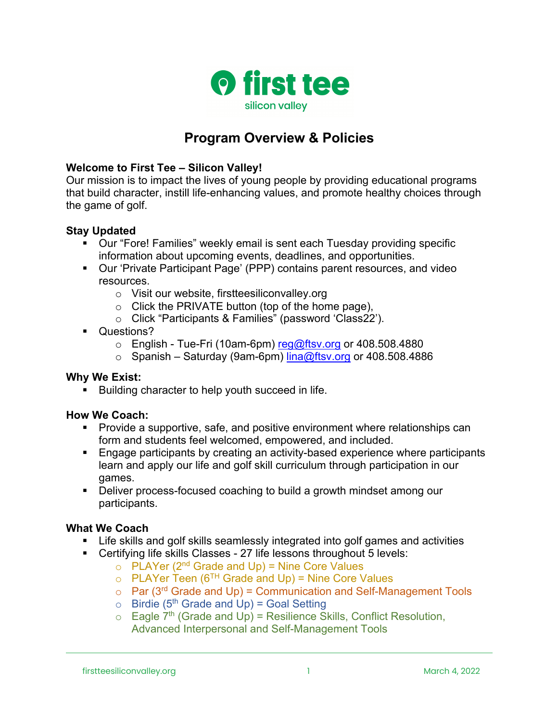

# **Program Overview & Policies**

### **Welcome to First Tee – Silicon Valley!**

Our mission is to impact the lives of young people by providing educational programs that build character, instill life-enhancing values, and promote healthy choices through the game of golf.

### **Stay Updated**

- § Our "Fore! Families" weekly email is sent each Tuesday providing specific information about upcoming events, deadlines, and opportunities.
- § Our 'Private Participant Page' (PPP) contains parent resources, and video resources.
	- o Visit our website, firstteesiliconvalley.org
	- $\circ$  Click the PRIVATE button (top of the home page),
	- o Click "Participants & Families" (password 'Class22').
- Questions?
	- $\circ$  English Tue-Fri (10am-6pm) reg@ftsv.org or 408.508.4880
	- $\circ$  Spanish Saturday (9am-6pm) lina@ftsv.org or 408.508.4886

#### **Why We Exist:**

Building character to help youth succeed in life.

# **How We Coach:**

- § Provide a supportive, safe, and positive environment where relationships can form and students feel welcomed, empowered, and included.
- Engage participants by creating an activity-based experience where participants learn and apply our life and golf skill curriculum through participation in our games.
- Deliver process-focused coaching to build a growth mindset among our participants.

#### **What We Coach**

- Life skills and golf skills seamlessly integrated into golf games and activities
- Certifying life skills Classes 27 life lessons throughout 5 levels:
	- $\circ$  PLAYer (2<sup>nd</sup> Grade and Up) = Nine Core Values
	- $\circ$  PLAYer Teen (6<sup>TH</sup> Grade and Up) = Nine Core Values
	- $\circ$  Par (3<sup>rd</sup> Grade and Up) = Communication and Self-Management Tools
	- $\circ$  Birdie (5<sup>th</sup> Grade and Up) = Goal Setting
	- $\circ$  Eagle 7<sup>th</sup> (Grade and Up) = Resilience Skills, Conflict Resolution, Advanced Interpersonal and Self-Management Tools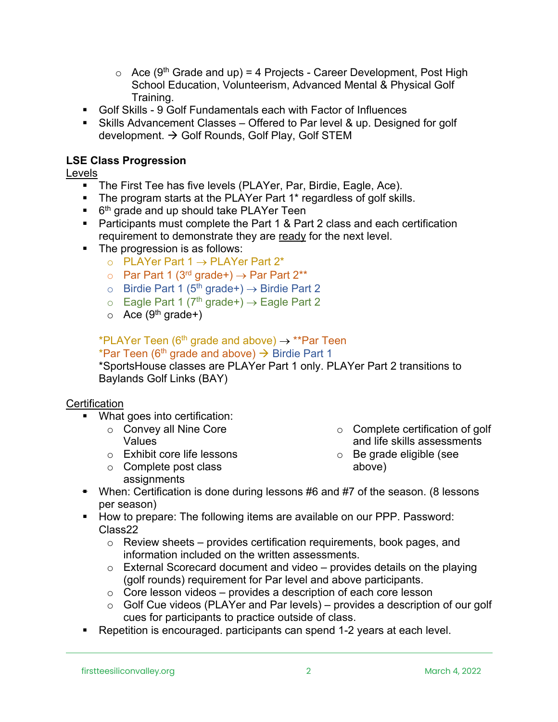- $\circ$  Ace (9<sup>th</sup> Grade and up) = 4 Projects Career Development, Post High School Education, Volunteerism, Advanced Mental & Physical Golf Training.
- § Golf Skills 9 Golf Fundamentals each with Factor of Influences
- Skills Advancement Classes Offered to Par level & up. Designed for golf development.  $\rightarrow$  Golf Rounds, Golf Play, Golf STEM

# **LSE Class Progression**

## Levels

- The First Tee has five levels (PLAYer, Par, Birdie, Eagle, Ace).
- The program starts at the PLAYer Part 1<sup>\*</sup> regardless of golf skills.
- $\bullet$  6<sup>th</sup> grade and up should take PLAYer Teen
- Participants must complete the Part 1 & Part 2 class and each certification requirement to demonstrate they are ready for the next level.
- The progression is as follows:
	- $\circ$  PLAYer Part 1  $\rightarrow$  PLAYer Part 2\*
	- o Par Part 1 (3<sup>rd</sup> grade+)  $\rightarrow$  Par Part 2\*\*
	- o Birdie Part 1 ( $5<sup>th</sup>$  grade+)  $\rightarrow$  Birdie Part 2
	- $\circ$  Eagle Part 1 (7<sup>th</sup> grade+)  $\rightarrow$  Eagle Part 2
	- $\circ$  Ace (9<sup>th</sup> grade+)

\*PLAYer Teen (6<sup>th</sup> grade and above)  $\rightarrow$  \*\*Par Teen

\*Par Teen (6<sup>th</sup> grade and above)  $\rightarrow$  Birdie Part 1

\*SportsHouse classes are PLAYer Part 1 only. PLAYer Part 2 transitions to Baylands Golf Links (BAY)

#### **Certification**

- What goes into certification:
	- o Convey all Nine Core Values
	- o Exhibit core life lessons
	- o Complete post class assignments
- o Complete certification of golf and life skills assessments
- o Be grade eligible (see above)
- When: Certification is done during lessons #6 and #7 of the season. (8 lessons per season)
- How to prepare: The following items are available on our PPP. Password: Class22
	- $\circ$  Review sheets provides certification requirements, book pages, and information included on the written assessments.
	- $\circ$  External Scorecard document and video provides details on the playing (golf rounds) requirement for Par level and above participants.
	- $\circ$  Core lesson videos provides a description of each core lesson
	- $\circ$  Golf Cue videos (PLAYer and Par levels) provides a description of our golf cues for participants to practice outside of class.
- Repetition is encouraged. participants can spend 1-2 years at each level.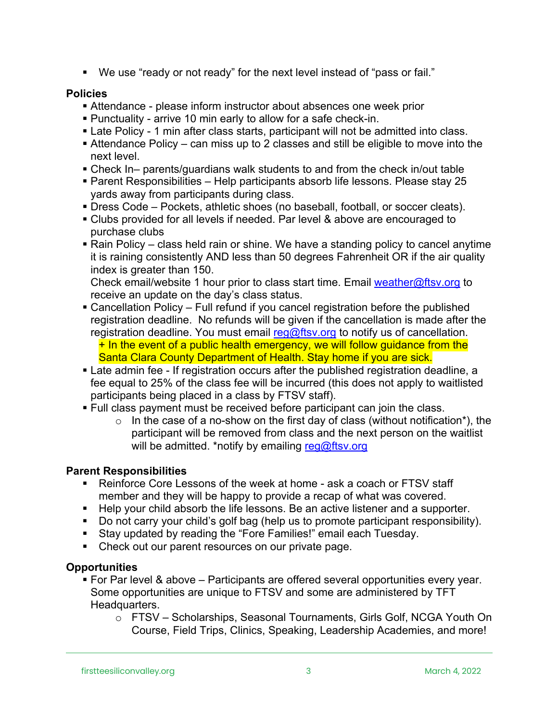■ We use "ready or not ready" for the next level instead of "pass or fail."

#### **Policies**

- § Attendance please inform instructor about absences one week prior
- § Punctuality arrive 10 min early to allow for a safe check-in.
- Late Policy 1 min after class starts, participant will not be admitted into class.
- Attendance Policy can miss up to 2 classes and still be eligible to move into the next level.
- § Check In– parents/guardians walk students to and from the check in/out table
- § Parent Responsibilities Help participants absorb life lessons. Please stay 25 yards away from participants during class.
- § Dress Code Pockets, athletic shoes (no baseball, football, or soccer cleats).
- § Clubs provided for all levels if needed. Par level & above are encouraged to purchase clubs
- Rain Policy class held rain or shine. We have a standing policy to cancel anytime it is raining consistently AND less than 50 degrees Fahrenheit OR if the air quality index is greater than 150.

Check email/website 1 hour prior to class start time. Email weather@ftsv.org to receive an update on the day's class status.

- Cancellation Policy Full refund if you cancel registration before the published registration deadline. No refunds will be given if the cancellation is made after the registration deadline. You must email reg@ftsv.org to notify us of cancellation.  $+$  In the event of a public health emergency, we will follow guidance from the Santa Clara County Department of Health. Stay home if you are sick.
- Late admin fee If registration occurs after the published registration deadline, a fee equal to 25% of the class fee will be incurred (this does not apply to waitlisted participants being placed in a class by FTSV staff).
- Full class payment must be received before participant can join the class.
	- $\circ$  In the case of a no-show on the first day of class (without notification\*), the participant will be removed from class and the next person on the waitlist will be admitted. \*notify by emailing reg@ftsv.org

# **Parent Responsibilities**

- Reinforce Core Lessons of the week at home ask a coach or FTSV staff member and they will be happy to provide a recap of what was covered.
- Help your child absorb the life lessons. Be an active listener and a supporter.
- Do not carry your child's golf bag (help us to promote participant responsibility).
- Stay updated by reading the "Fore Families!" email each Tuesday.
- Check out our parent resources on our private page.

# **Opportunities**

- § For Par level & above Participants are offered several opportunities every year. Some opportunities are unique to FTSV and some are administered by TFT Headquarters.
	- o FTSV Scholarships, Seasonal Tournaments, Girls Golf, NCGA Youth On Course, Field Trips, Clinics, Speaking, Leadership Academies, and more!